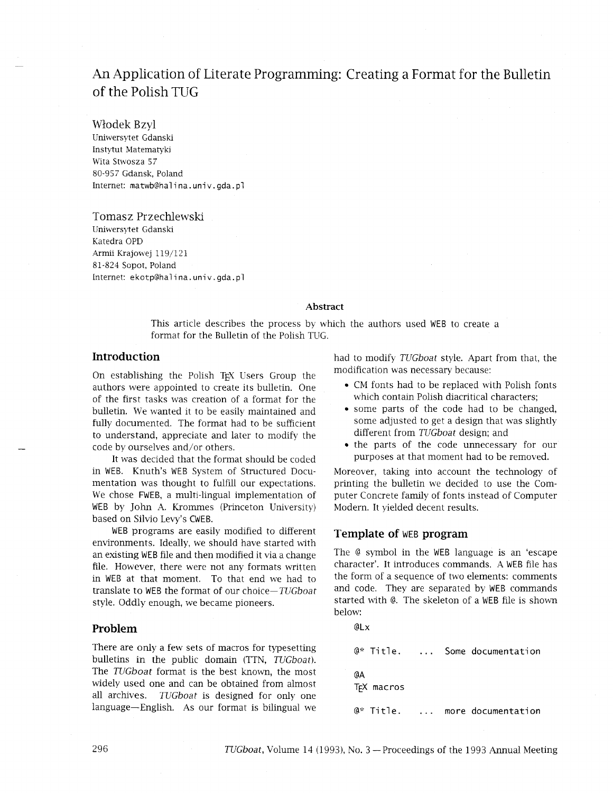# An Application of Literate Programming: Creating a Format for the Bulletin of the Polish TUG

Wlodek Bzyl

Uniwersytet Gdanski Instytut Matematyki Wita Stwosza 57 80-957 Gdansk, Poland Internet: matwb@halina.univ.gda.pl

Tomasz Przechlewski Uniwersytet Gdanski Katedra OPD Arrnii Krajowej 119/121 81-824 Sopot, Poland Internet: ekotp@halina.univ.gda.pl

#### **Abstract**

This article describes the process by which the authors used WEB to create a format for the Bulletin of the Polish TUG.

## **Introduction**

On establishing the Polish TEX Users Group the authors were appointed to create its bulletin. One of the first tasks was creation of a format for the bulletin. We wanted it to be easily maintained and fully documented. The format had to be sufficient to understand, appreciate and later to modify the code by ourselves and/or others.

It was decided that the format should be coded in WEB. Knuth's WEB System of Structured Documentation was thought to fulfill our expectations. We chose FWEB, a multi-lingual implementation of WEB by John A. Krommes (Princeton University) based on Silvio Levy's CWEB.

WEB programs are easily modified to different environments. Ideally, we should have started with an existing WEB file and then modified it via a change file. However, there were not any formats written in WEB at that moment. To that end we had to translate to WEB the format of our choice-TUGboat style. Oddly enough, we became pioneers.

## **Problem**

There are only a few sets of macros for typesetting bulletins in the public domain (TTN, TUGboat). The TUGboat format is the best known, the most widely used one and can be obtained from almost all archives. TUGboat is designed for only one language-English. As our format is bilingual we had to modify TUGboat style. Apart from that, the modification was necessary because:

- $\bullet$  CM fonts had to be replaced with Polish fonts which contain Polish diacritical characters;
- some parts of the code had to be changed, some adjusted to get a design that was slightly different from *TUGboat* design; and
- the parts of the code unnecessary for our purposes at that moment had to be removed.

Moreover, taking into account the technology of printing the bulletin we decided to use the Computer Concrete family of fonts instead of Computer Modern. It yielded decent results.

## **Template of** WEB **program**

The @ symbol in the WEB language is an 'escape character'. It introduces commands. A WEB file has the form of a sequence of two elements: comments and code. They are separated by WEB commands started with @. The skeleton of a WEB file is shown below:

@Lx

```
@* Title. ... Some documentation
@A 
TEX macros 
@* Title. ... more documentation
```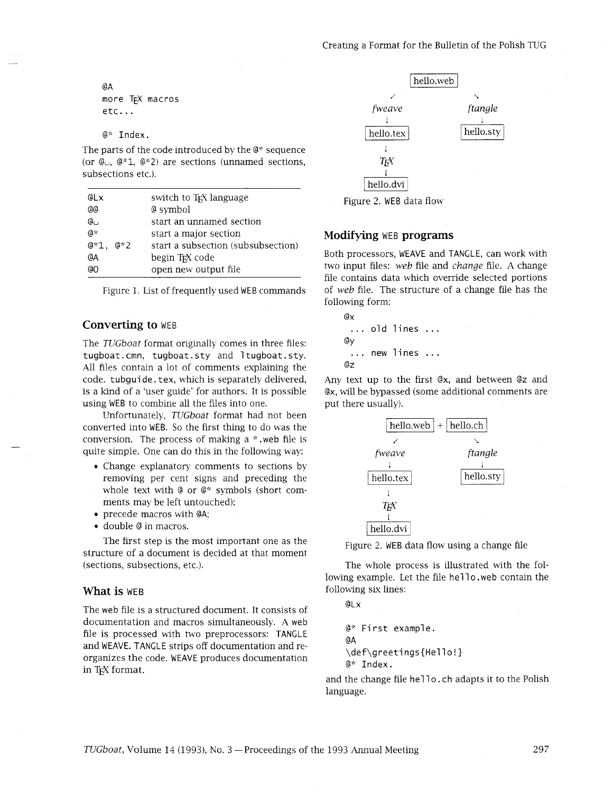@A more TEX macros etc.. .

@\* Index.

The parts of the code introduced by the @\* sequence  $@*$  Index.<br>The parts of the code introduced by the  $@*$  sequence<br>(or  $@{\sqcup}, @*1, @*2$ ) are sections (unnamed sections,<br>subsections etc.) subsections etc.).

| @Lx        | switch to T <sub>F</sub> X language |
|------------|-------------------------------------|
| aa         | @ symbol                            |
| പേ         | start an unnamed section            |
| $0$ *      | start a major section               |
| $@*1, @*2$ | start a subsection (subsubsection)  |
| @A         | begin T <sub>F</sub> X code         |
| aΩ         | open new output file                |

|  | Figure 1. List of frequently used WEB commands |  |
|--|------------------------------------------------|--|
|--|------------------------------------------------|--|

## **Converting to** WEB

The *TUGboat* format originally comes in three files: tugboat. cmn, tugboat. sty and 1 tugboat. sty. All files contain a lot of comments explaining the code. tubgui de. tex, which is separately delivered, is a kind of a 'user guide' for authors. It is possible using WEB to combine all the files into one.

Unfortunately, *TUGboat* format had not been converted into WEB. So the first thing to do was the conversion. The process of making a \* .web file is quite simple. One can do this in the following way:

- Change explanatory comments to sections by removing per cent signs and preceding the whole text with @ or @\* symbols (short com-
- ments may be left untouched); precede macros with @A;
- double @ in macros.

The first step is the most important one as the structure of a document is decided at that moment (sections, subsections, etc.).

### **What is** WEB

The web file is a structured document. It consists of documentation and macros simultaneously. A web file is processed with two preprocessors: TANCLE and WEAVE. TANCLE strips off documentation and reorganizes the code. WEAVE produces documentation in T<sub>E</sub>X format.



Figure 2. WEB data flow

### **Modifying** WEB **programs**

Both processors, WEAVE and TANGLE, can work with two input files: *web* file and *change* file. A change file contains data which override selected portions of *web* file. The structure of a change file has the following form:

ex ... old lines ... @Y . . . new lines . . . ez

Any text up to the first ex, and between @z and ex, will be bypassed (some additional comments are put there usually).





The whole process is illustrated with the following example. Let the file he110, web contain the following six lines:

@Lx

```
@* Fi rst example . 
@A 
\def\greetings{Hello!}
@* Index.
```
and the change file hello. ch adapts it to the Polish language.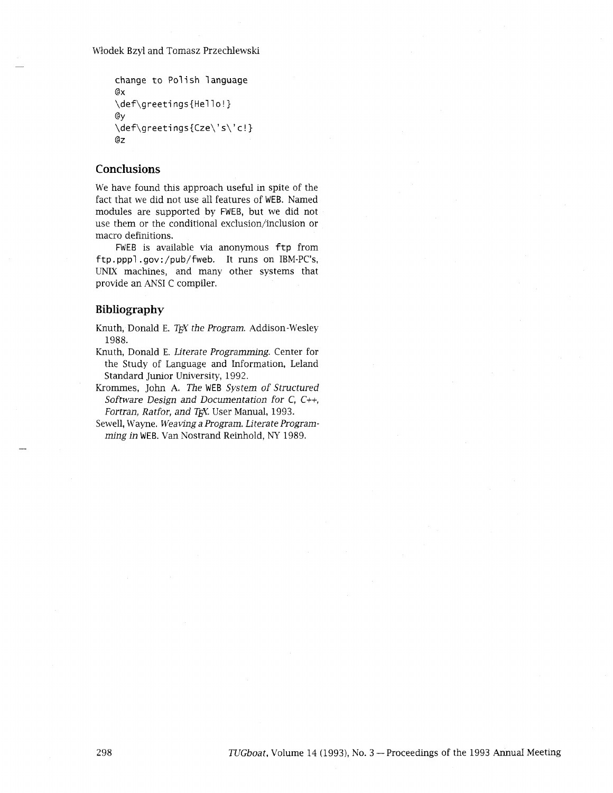Włodek Bzyl and Tomasz Przechlewski

```
change to Polish language 
ex 
\def\greetings{Hello!}
@Y 
\def\greetings(Cze\'s\'c!} 
ez
```
## **Conclusions**

We have found this approach useful in spite of the fact that we did not use all features of WEB. Named modules are supported by FWEB, but we did not use them or the conditional exclusion/inclusion or macro definitions.

FWEB is available via anonymous ftp from ftp. pppl . gov: /pub/fweb. It runs on IBM-PC's, UNIX machines, and many other systems that provide an ANSI C compiler.

## **Bibliography**

Knuth, Donald E. *T<sub>F</sub>X the Program*. Addison-Wesley 1988.

- Knuth, Donald E. *Literate Programming.* Center for the Study of Language and Information, Leland Standard Junior University, 1992.
- Kromrnes, John *A. The* WEB *System of Structured Software Design and Documentation for* C, C++, *Fortran, Ratfor, and TEX. User Manual, 1993.*
- Sewell, Wayne. *Weaving a Program. Literate Program***ming** *in* WEB. Van Nostrand Remhold, NY 1989.